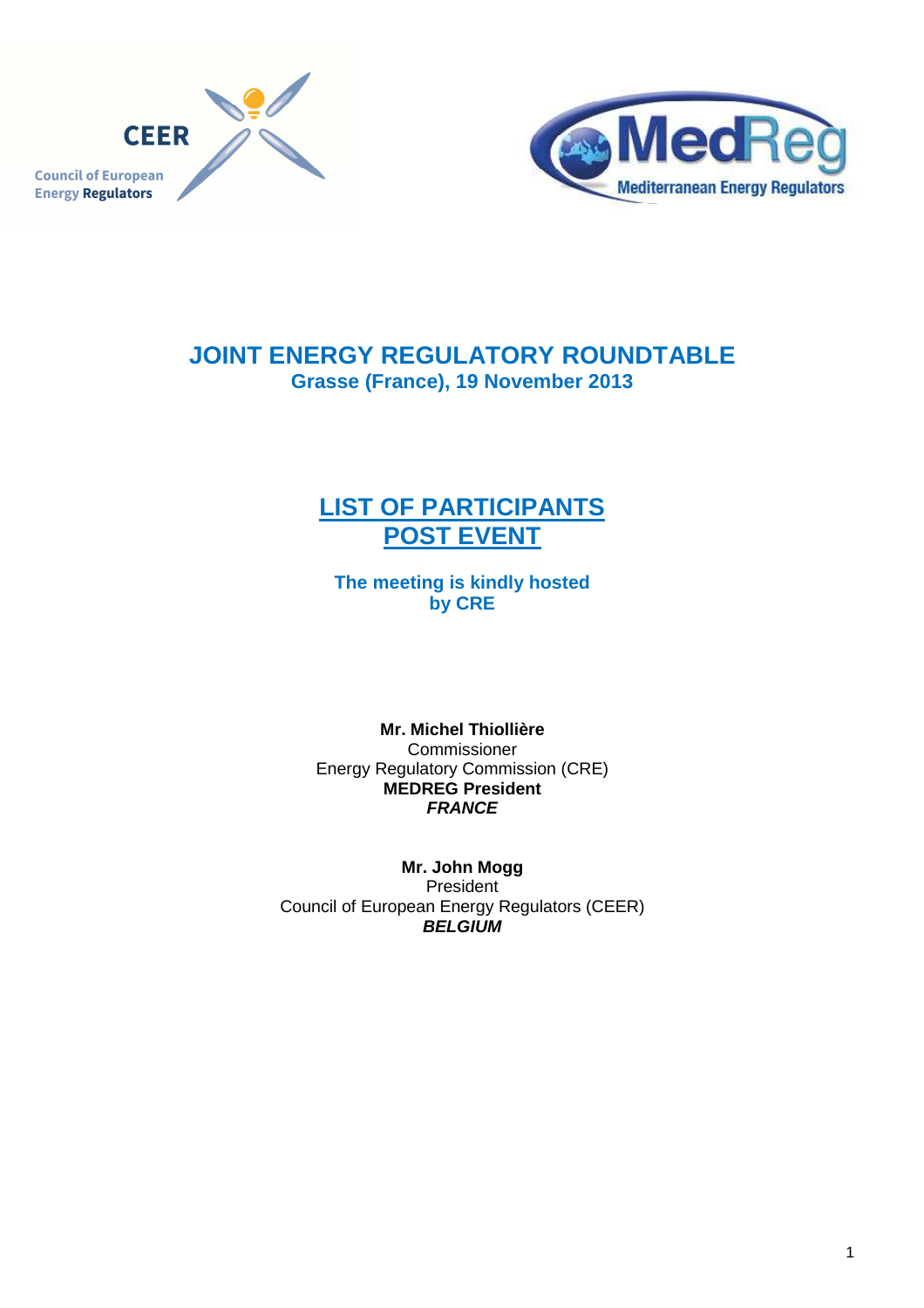



# **JOINT ENERGY REGULATORY ROUNDTABLE Grasse (France), 19 November 2013**

# **LIST OF PARTICIPANTS POST EVENT**

**The meeting is kindly hosted by CRE** 

**Mr. Michel Thiollière**  Commissioner Energy Regulatory Commission (CRE) **MEDREG President FRANCE** 

**Mr. John Mogg**  President Council of European Energy Regulators (CEER) **BELGIUM**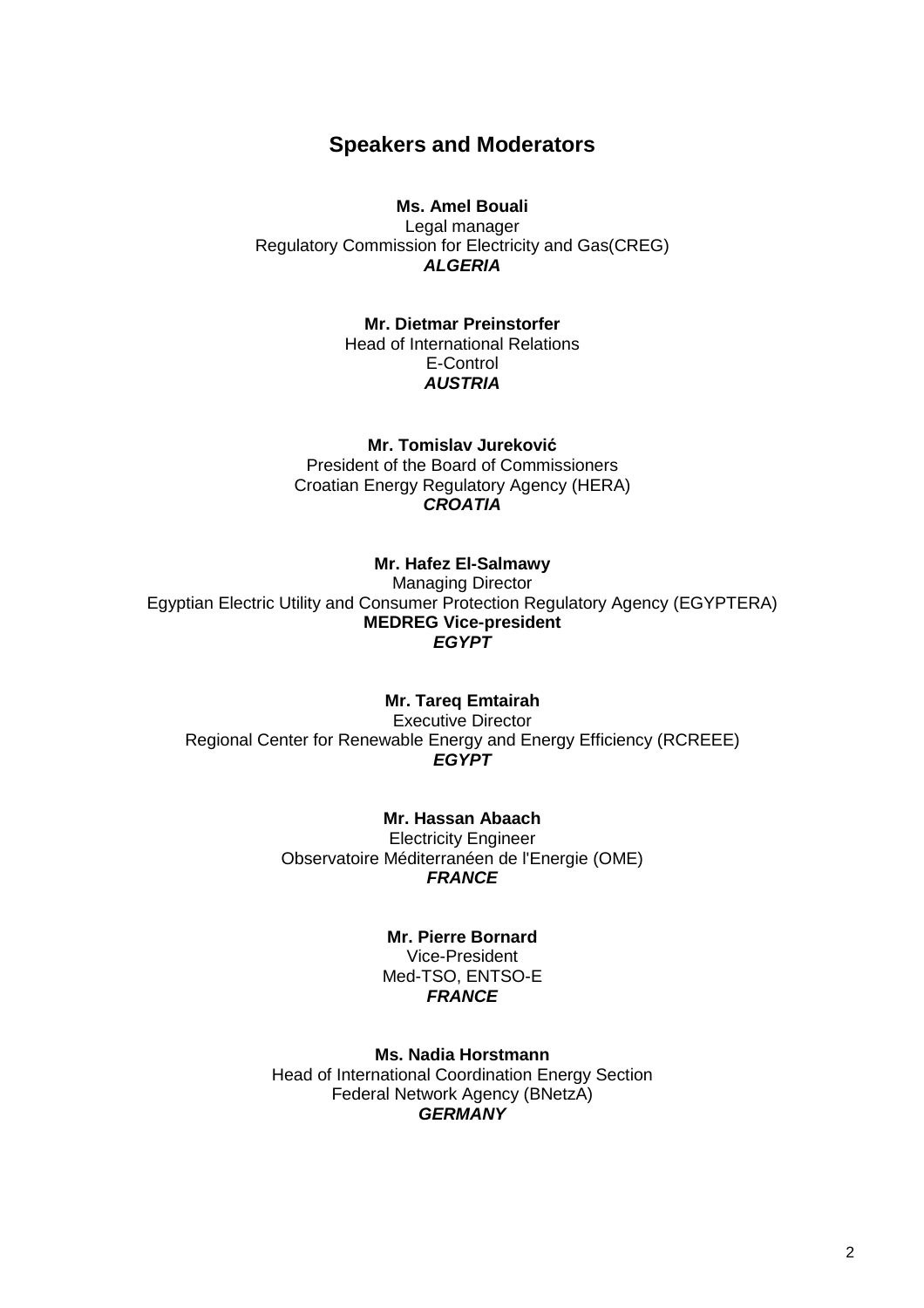# **Speakers and Moderators**

# **Ms. Amel Bouali**

Legal manager Regulatory Commission for Electricity and Gas(CREG) **ALGERIA** 

# **Mr. Dietmar Preinstorfer**

Head of International Relations E-Control **AUSTRIA** 

**Mr. Tomislav Jureković** President of the Board of Commissioners Croatian Energy Regulatory Agency (HERA) **CROATIA** 

# **Mr. Hafez El-Salmawy**

Managing Director Egyptian Electric Utility and Consumer Protection Regulatory Agency (EGYPTERA) **MEDREG Vice-president EGYPT**

#### **Mr. Tareq Emtairah**

Executive Director Regional Center for Renewable Energy and Energy Efficiency (RCREEE) **EGYPT** 

> **Mr. Hassan Abaach**  Electricity Engineer Observatoire Méditerranéen de l'Energie (OME) **FRANCE**

# **Mr. Pierre Bornard**

Vice-President Med-TSO, ENTSO-E **FRANCE** 

**Ms. Nadia Horstmann**  Head of International Coordination Energy Section Federal Network Agency (BNetzA) **GERMANY**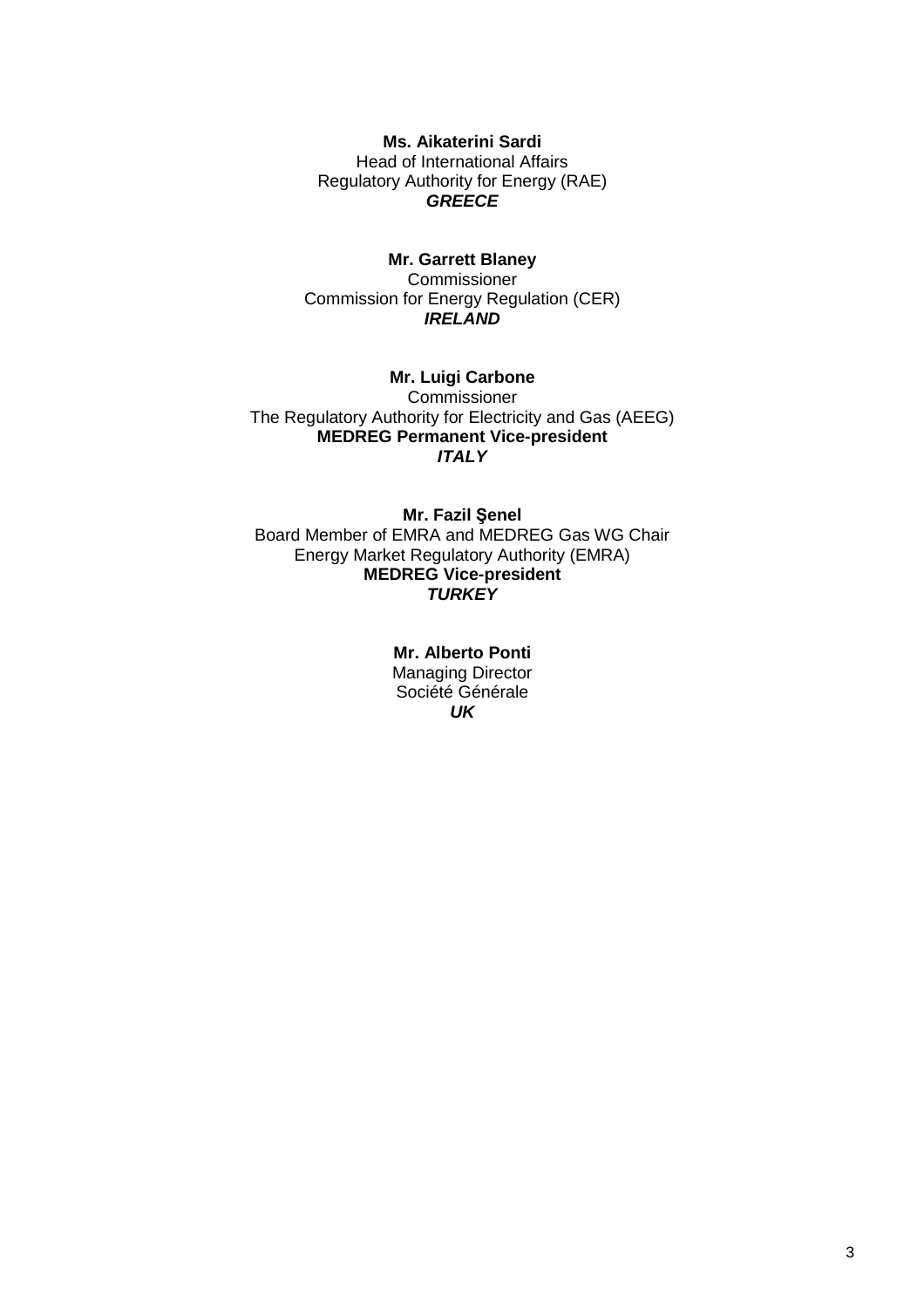**Ms. Aikaterini Sardi**  Head of International Affairs Regulatory Authority for Energy (RAE) **GREECE** 

# **Mr. Garrett Blaney**

**Commissioner** Commission for Energy Regulation (CER) **IRELAND** 

**Mr. Luigi Carbone Commissioner** The Regulatory Authority for Electricity and Gas (AEEG) **MEDREG Permanent Vice-president ITALY** 

**Mr. Fazil Şenel** Board Member of EMRA and MEDREG Gas WG Chair Energy Market Regulatory Authority (EMRA) **MEDREG Vice-president TURKEY** 

> **Mr. Alberto Ponti**  Managing Director Société Générale **UK**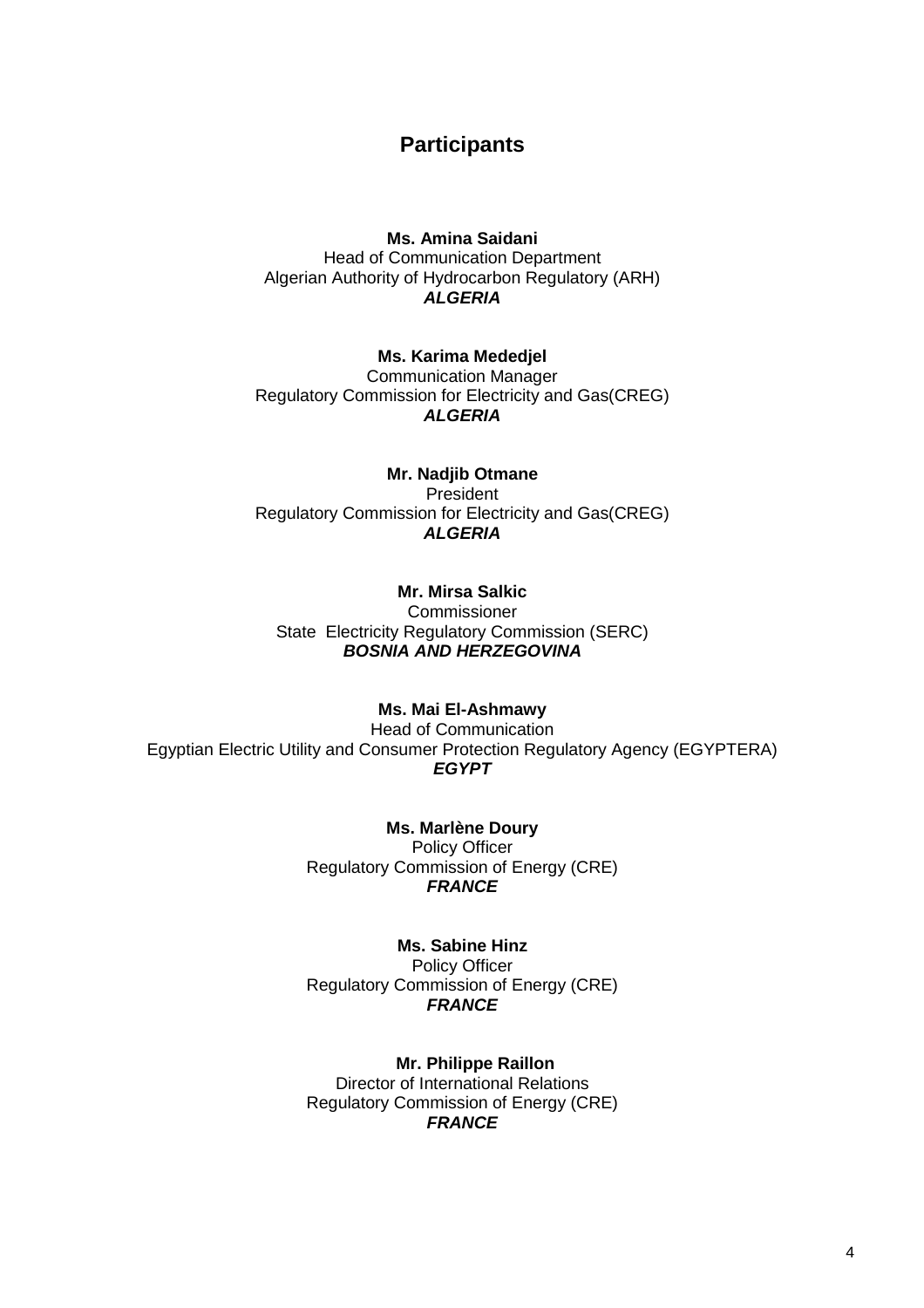# **Participants**

## **Ms. Amina Saidani**  Head of Communication Department Algerian Authority of Hydrocarbon Regulatory (ARH) **ALGERIA**

#### **Ms. Karima Mededjel**

Communication Manager Regulatory Commission for Electricity and Gas(CREG) **ALGERIA** 

# **Mr. Nadjib Otmane**  President Regulatory Commission for Electricity and Gas(CREG) **ALGERIA**

# **Mr. Mirsa Salkic**

Commissioner State Electricity Regulatory Commission (SERC) **BOSNIA AND HERZEGOVINA** 

# **Ms. Mai El-Ashmawy**

Head of Communication Egyptian Electric Utility and Consumer Protection Regulatory Agency (EGYPTERA) **EGYPT**

> **Ms. Marlène Doury** Policy Officer Regulatory Commission of Energy (CRE) **FRANCE**

#### **Ms. Sabine Hinz**

Policy Officer Regulatory Commission of Energy (CRE) **FRANCE** 

**Mr. Philippe Raillon**  Director of International Relations Regulatory Commission of Energy (CRE) **FRANCE**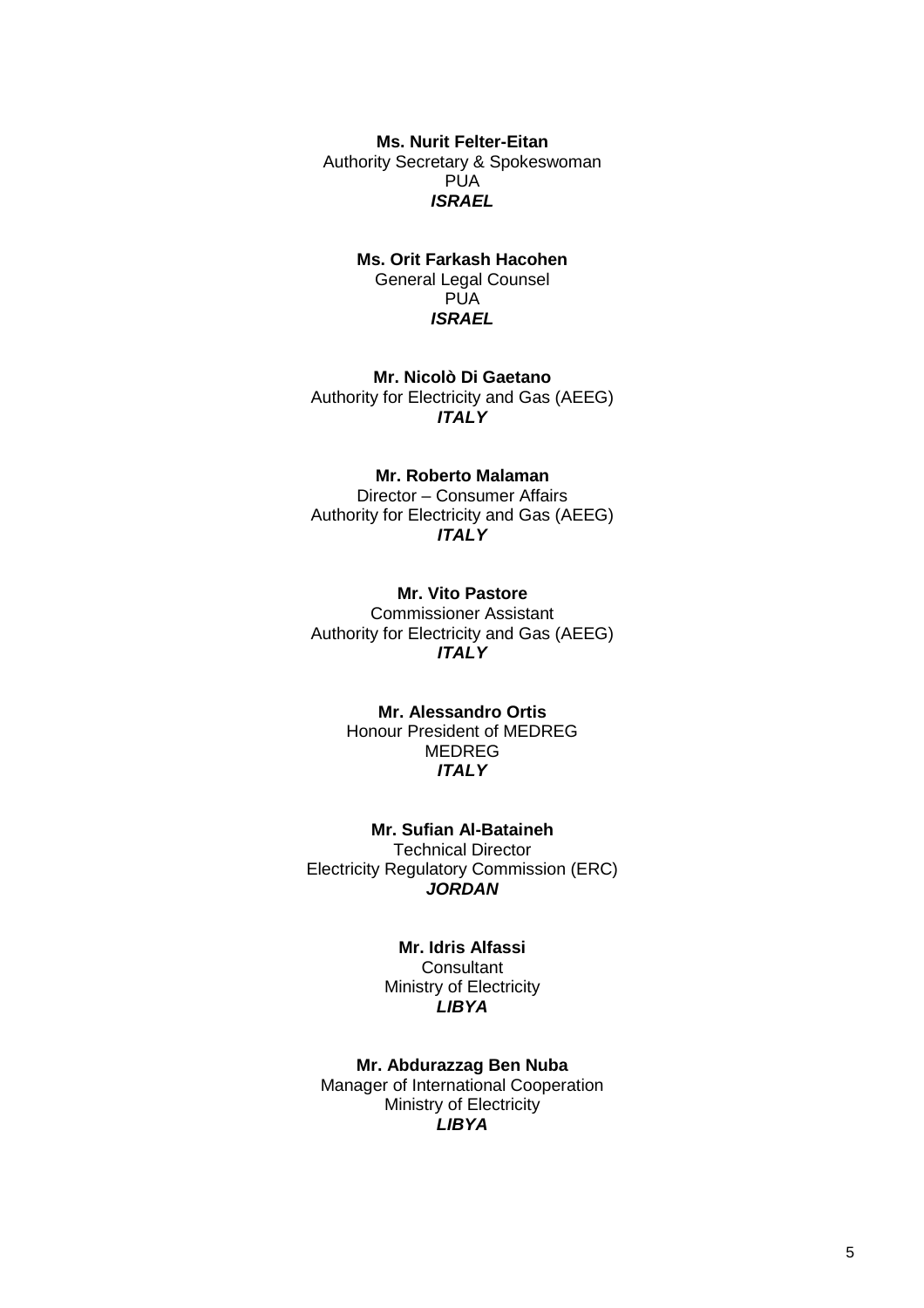**Ms. Nurit Felter-Eitan**  Authority Secretary & Spokeswoman PUA **ISRAEL** 

### **Ms. Orit Farkash Hacohen**  General Legal Counsel **PUA ISRAEL**

**Mr. Nicolò Di Gaetano**  Authority for Electricity and Gas (AEEG) **ITALY** 

### **Mr. Roberto Malaman**

Director – Consumer Affairs Authority for Electricity and Gas (AEEG) **ITALY** 

#### **Mr. Vito Pastore**

Commissioner Assistant Authority for Electricity and Gas (AEEG) **ITALY** 

### **Mr. Alessandro Ortis**  Honour President of MEDREG MEDREG **ITALY**

**Mr. Sufian Al-Bataineh**  Technical Director Electricity Regulatory Commission (ERC) **JORDAN** 

#### **Mr. Idris Alfassi**

**Consultant** Ministry of Electricity **LIBYA** 

**Mr. Abdurazzag Ben Nuba**  Manager of International Cooperation Ministry of Electricity **LIBYA**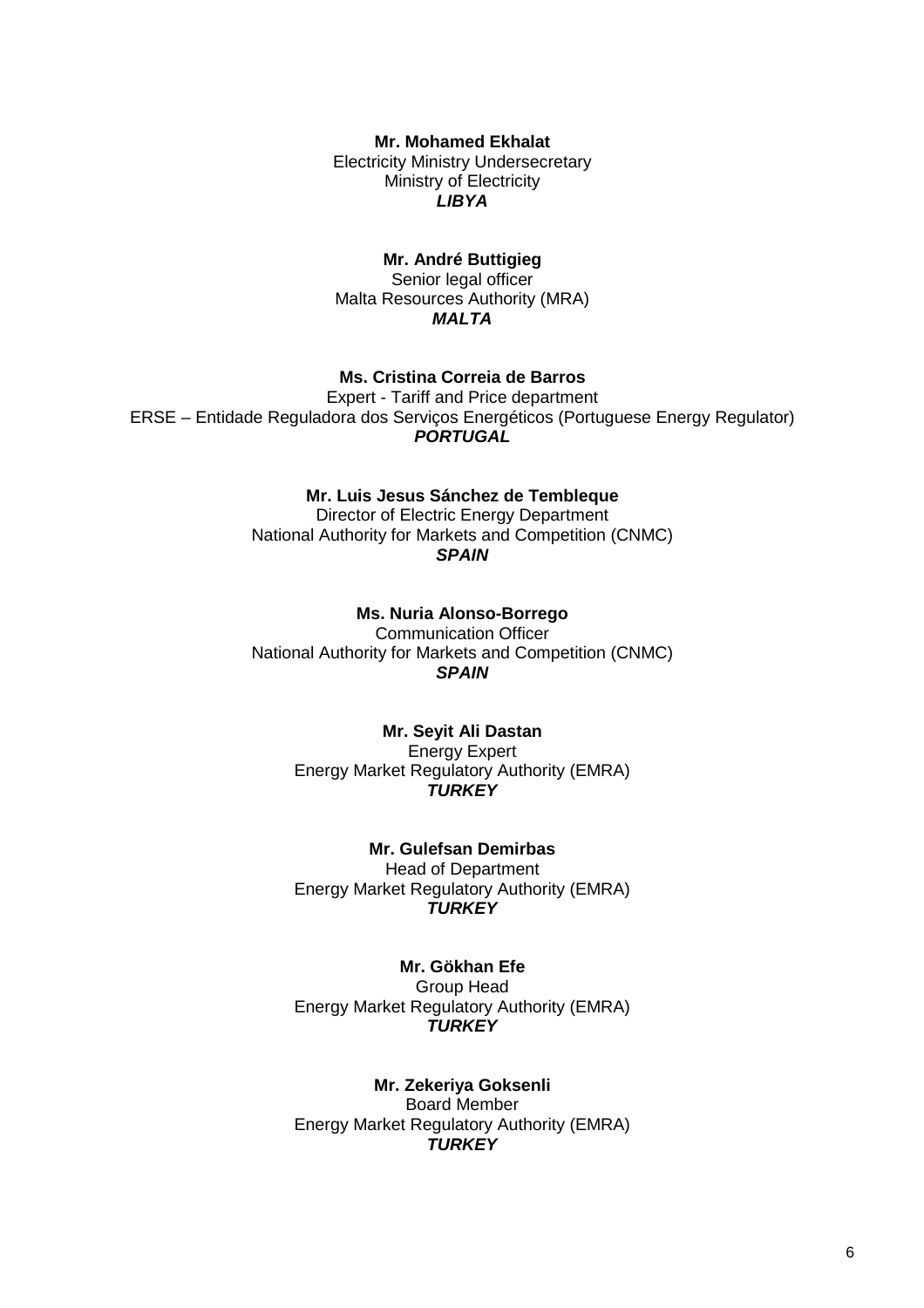**Mr. Mohamed Ekhalat** 

Electricity Ministry Undersecretary Ministry of Electricity **LIBYA** 

## **Mr. André Buttigieg**

Senior legal officer Malta Resources Authority (MRA) **MALTA** 

# **Ms. Cristina Correia de Barros**

Expert - Tariff and Price department ERSE – Entidade Reguladora dos Serviços Energéticos (Portuguese Energy Regulator) **PORTUGAL** 

#### **Mr. Luis Jesus Sánchez de Tembleque**

Director of Electric Energy Department National Authority for Markets and Competition (CNMC) **SPAIN** 

#### **Ms. Nuria Alonso-Borrego**

Communication Officer National Authority for Markets and Competition (CNMC) **SPAIN** 

### **Mr. Seyit Ali Dastan**  Energy Expert Energy Market Regulatory Authority (EMRA) **TURKEY**

**Mr. Gulefsan Demirbas**  Head of Department Energy Market Regulatory Authority (EMRA) **TURKEY**

**Mr. Gökhan Efe**  Group Head Energy Market Regulatory Authority (EMRA) **TURKEY** 

**Mr. Zekeriya Goksenli**  Board Member Energy Market Regulatory Authority (EMRA) **TURKEY**